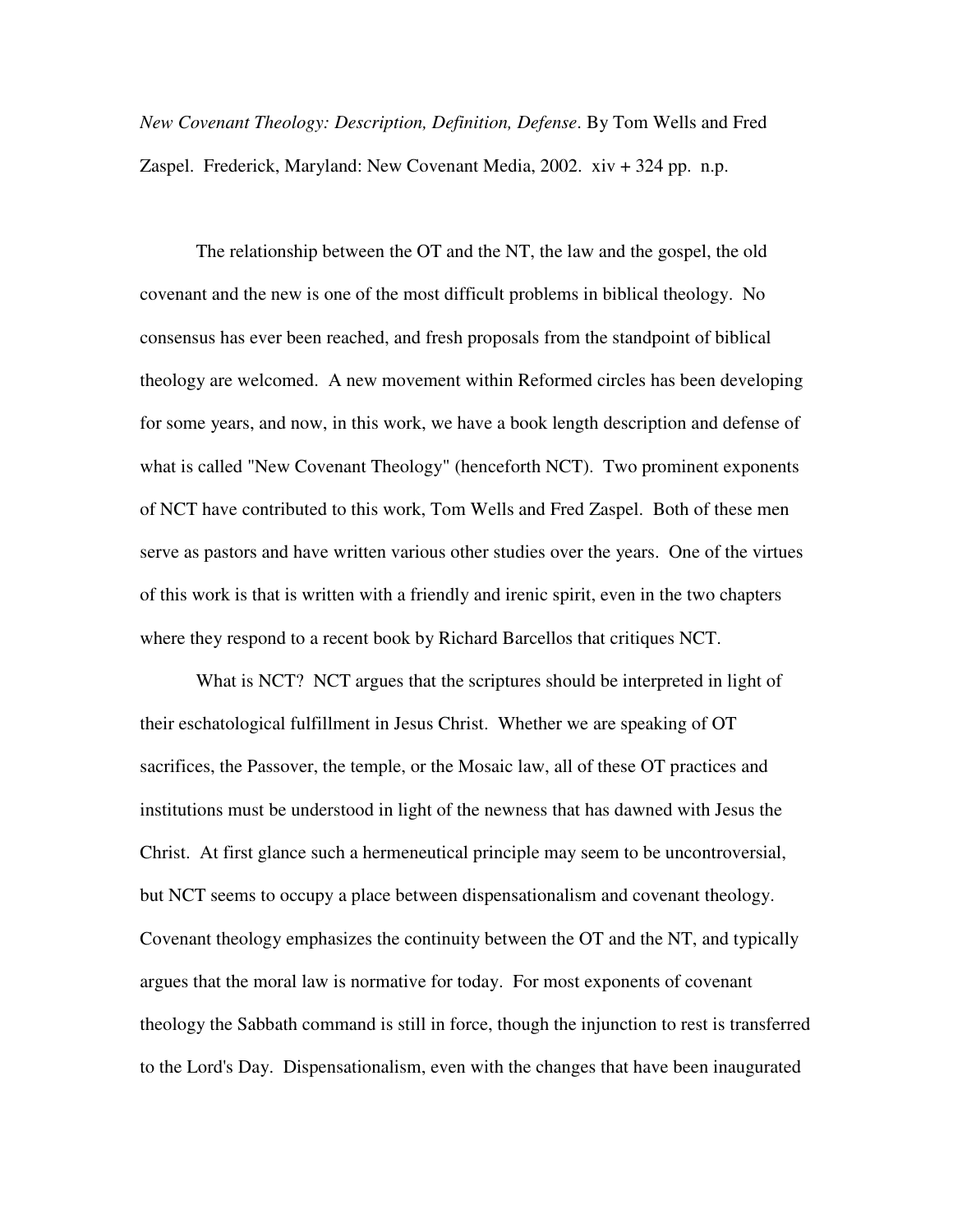*New Covenant Theology: Description, Definition, Defense*. By Tom Wells and Fred Zaspel. Frederick, Maryland: New Covenant Media, 2002. xiv + 324 pp. n.p.

The relationship between the OT and the NT, the law and the gospel, the old covenant and the new is one of the most difficult problems in biblical theology. No consensus has ever been reached, and fresh proposals from the standpoint of biblical theology are welcomed. A new movement within Reformed circles has been developing for some years, and now, in this work, we have a book length description and defense of what is called "New Covenant Theology" (henceforth NCT). Two prominent exponents of NCT have contributed to this work, Tom Wells and Fred Zaspel. Both of these men serve as pastors and have written various other studies over the years. One of the virtues of this work is that is written with a friendly and irenic spirit, even in the two chapters where they respond to a recent book by Richard Barcellos that critiques NCT.

What is NCT? NCT argues that the scriptures should be interpreted in light of their eschatological fulfillment in Jesus Christ. Whether we are speaking of OT sacrifices, the Passover, the temple, or the Mosaic law, all of these OT practices and institutions must be understood in light of the newness that has dawned with Jesus the Christ. At first glance such a hermeneutical principle may seem to be uncontroversial, but NCT seems to occupy a place between dispensationalism and covenant theology. Covenant theology emphasizes the continuity between the OT and the NT, and typically argues that the moral law is normative for today. For most exponents of covenant theology the Sabbath command is still in force, though the injunction to rest is transferred to the Lord's Day. Dispensationalism, even with the changes that have been inaugurated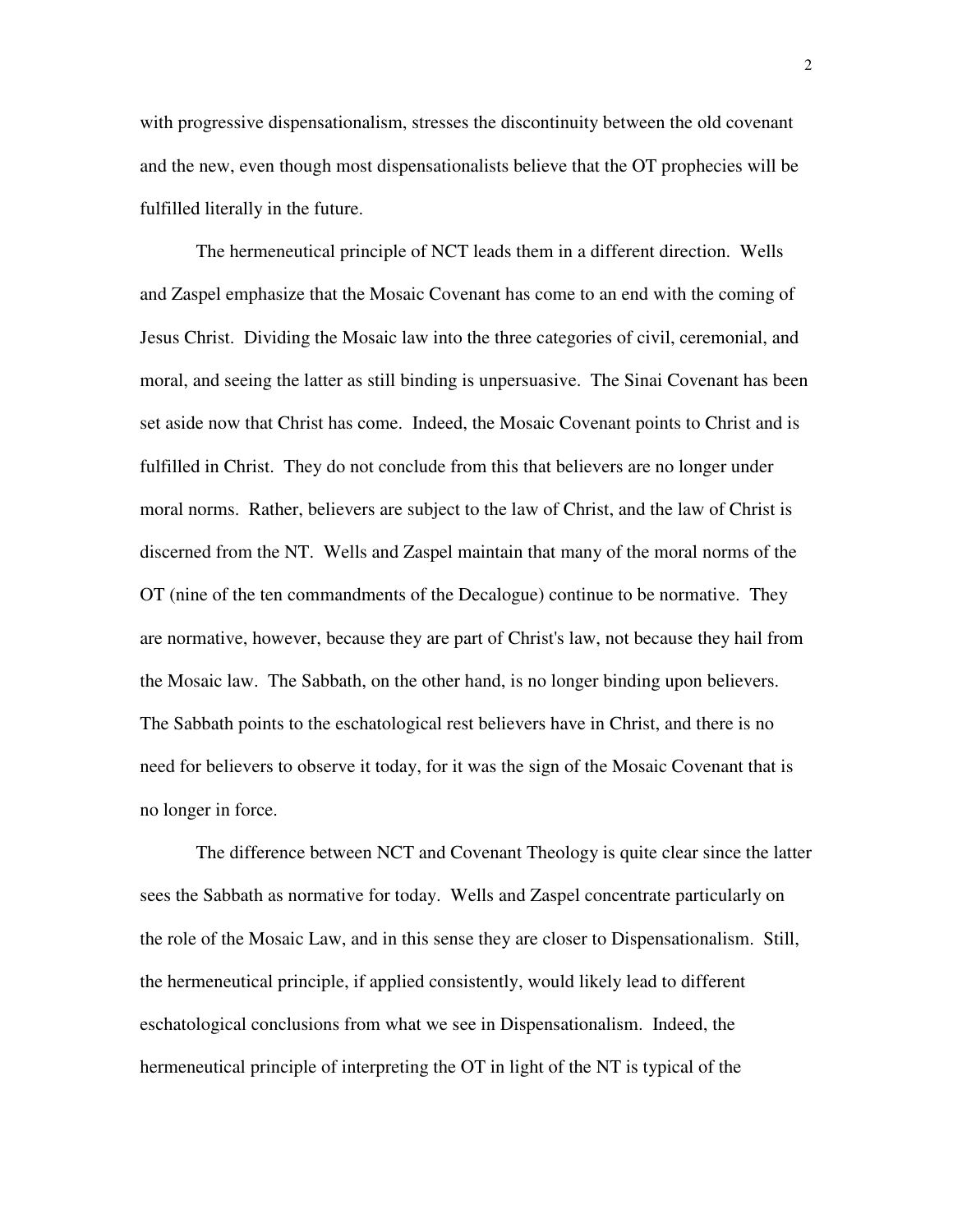with progressive dispensationalism, stresses the discontinuity between the old covenant and the new, even though most dispensationalists believe that the OT prophecies will be fulfilled literally in the future.

The hermeneutical principle of NCT leads them in a different direction. Wells and Zaspel emphasize that the Mosaic Covenant has come to an end with the coming of Jesus Christ. Dividing the Mosaic law into the three categories of civil, ceremonial, and moral, and seeing the latter as still binding is unpersuasive. The Sinai Covenant has been set aside now that Christ has come. Indeed, the Mosaic Covenant points to Christ and is fulfilled in Christ. They do not conclude from this that believers are no longer under moral norms. Rather, believers are subject to the law of Christ, and the law of Christ is discerned from the NT. Wells and Zaspel maintain that many of the moral norms of the OT (nine of the ten commandments of the Decalogue) continue to be normative. They are normative, however, because they are part of Christ's law, not because they hail from the Mosaic law. The Sabbath, on the other hand, is no longer binding upon believers. The Sabbath points to the eschatological rest believers have in Christ, and there is no need for believers to observe it today, for it was the sign of the Mosaic Covenant that is no longer in force.

The difference between NCT and Covenant Theology is quite clear since the latter sees the Sabbath as normative for today. Wells and Zaspel concentrate particularly on the role of the Mosaic Law, and in this sense they are closer to Dispensationalism. Still, the hermeneutical principle, if applied consistently, would likely lead to different eschatological conclusions from what we see in Dispensationalism. Indeed, the hermeneutical principle of interpreting the OT in light of the NT is typical of the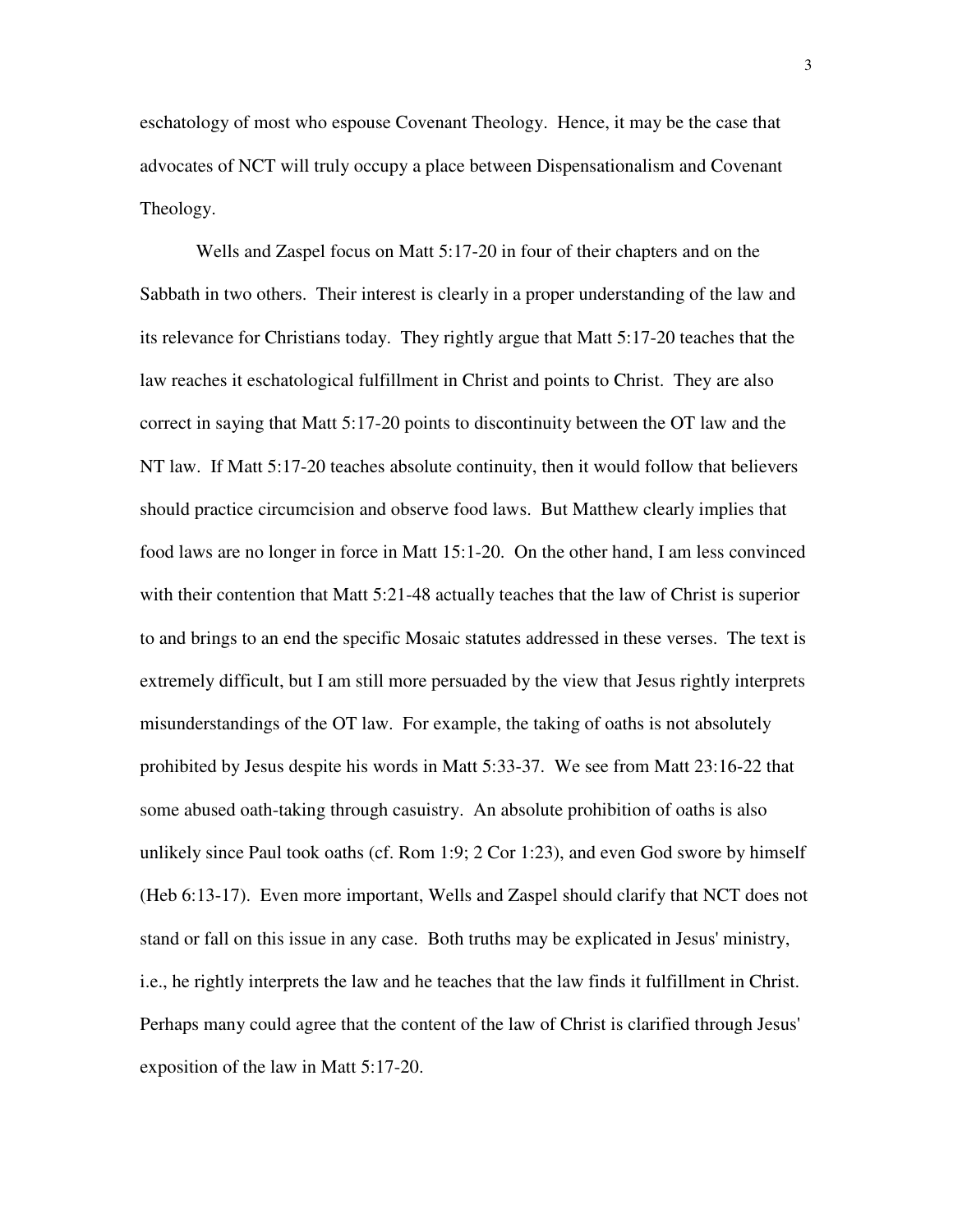eschatology of most who espouse Covenant Theology. Hence, it may be the case that advocates of NCT will truly occupy a place between Dispensationalism and Covenant Theology.

Wells and Zaspel focus on Matt 5:17-20 in four of their chapters and on the Sabbath in two others. Their interest is clearly in a proper understanding of the law and its relevance for Christians today. They rightly argue that Matt 5:17-20 teaches that the law reaches it eschatological fulfillment in Christ and points to Christ. They are also correct in saying that Matt 5:17-20 points to discontinuity between the OT law and the NT law. If Matt 5:17-20 teaches absolute continuity, then it would follow that believers should practice circumcision and observe food laws. But Matthew clearly implies that food laws are no longer in force in Matt 15:1-20. On the other hand, I am less convinced with their contention that Matt 5:21-48 actually teaches that the law of Christ is superior to and brings to an end the specific Mosaic statutes addressed in these verses. The text is extremely difficult, but I am still more persuaded by the view that Jesus rightly interprets misunderstandings of the OT law. For example, the taking of oaths is not absolutely prohibited by Jesus despite his words in Matt 5:33-37. We see from Matt 23:16-22 that some abused oath-taking through casuistry. An absolute prohibition of oaths is also unlikely since Paul took oaths (cf. Rom 1:9; 2 Cor 1:23), and even God swore by himself (Heb 6:13-17). Even more important, Wells and Zaspel should clarify that NCT does not stand or fall on this issue in any case. Both truths may be explicated in Jesus' ministry, i.e., he rightly interprets the law and he teaches that the law finds it fulfillment in Christ. Perhaps many could agree that the content of the law of Christ is clarified through Jesus' exposition of the law in Matt 5:17-20.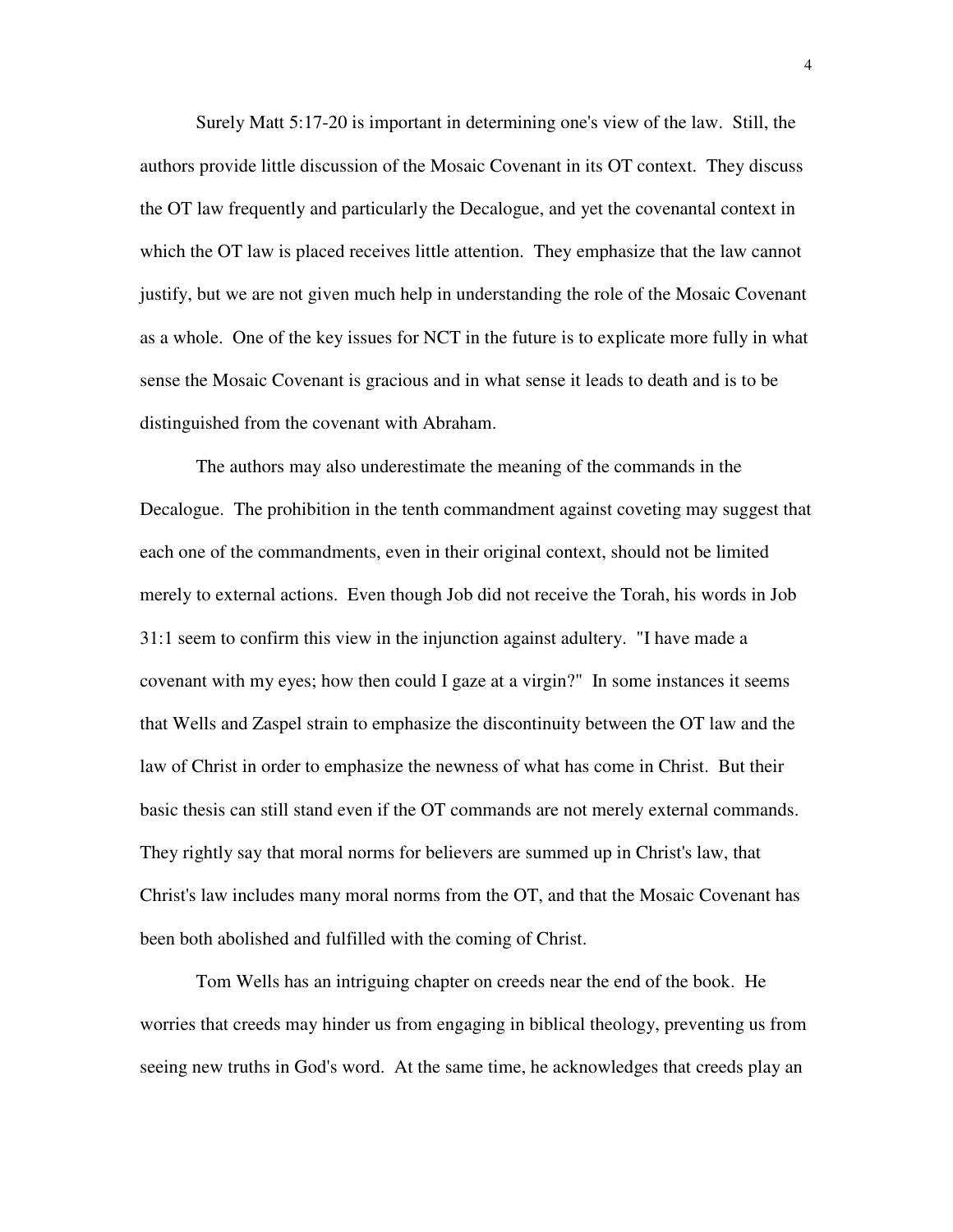Surely Matt 5:17-20 is important in determining one's view of the law. Still, the authors provide little discussion of the Mosaic Covenant in its OT context. They discuss the OT law frequently and particularly the Decalogue, and yet the covenantal context in which the OT law is placed receives little attention. They emphasize that the law cannot justify, but we are not given much help in understanding the role of the Mosaic Covenant as a whole. One of the key issues for NCT in the future is to explicate more fully in what sense the Mosaic Covenant is gracious and in what sense it leads to death and is to be distinguished from the covenant with Abraham.

The authors may also underestimate the meaning of the commands in the Decalogue. The prohibition in the tenth commandment against coveting may suggest that each one of the commandments, even in their original context, should not be limited merely to external actions. Even though Job did not receive the Torah, his words in Job 31:1 seem to confirm this view in the injunction against adultery. "I have made a covenant with my eyes; how then could I gaze at a virgin?" In some instances it seems that Wells and Zaspel strain to emphasize the discontinuity between the OT law and the law of Christ in order to emphasize the newness of what has come in Christ. But their basic thesis can still stand even if the OT commands are not merely external commands. They rightly say that moral norms for believers are summed up in Christ's law, that Christ's law includes many moral norms from the OT, and that the Mosaic Covenant has been both abolished and fulfilled with the coming of Christ.

Tom Wells has an intriguing chapter on creeds near the end of the book. He worries that creeds may hinder us from engaging in biblical theology, preventing us from seeing new truths in God's word. At the same time, he acknowledges that creeds play an